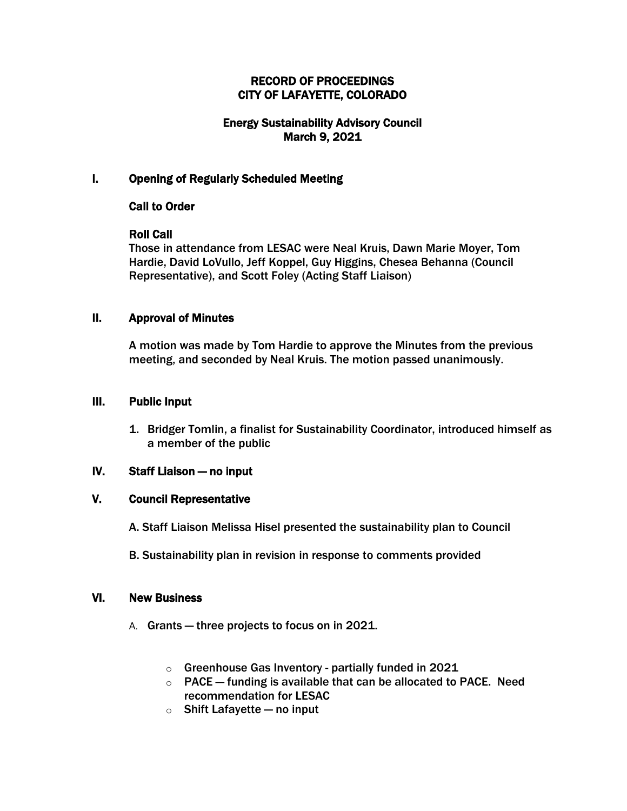## RECORD OF PROCEEDINGS CITY OF LAFAYETTE, COLORADO

# Energy Sustainability Advisory Council March 9, 2021

### I. Opening of Regularly Scheduled Meeting

### Call to Order

### Roll Call

Those in attendance from LESAC were Neal Kruis, Dawn Marie Moyer, Tom Hardie, David LoVullo, Jeff Koppel, Guy Higgins, Chesea Behanna (Council Representative), and Scott Foley (Acting Staff Liaison)

### II. Approval of Minutes

A motion was made by Tom Hardie to approve the Minutes from the previous meeting, and seconded by Neal Kruis. The motion passed unanimously.

#### III. Public Input

1. Bridger Tomlin, a finalist for Sustainability Coordinator, introduced himself as a member of the public

#### IV. Staff Liaison — no input

# V. Council Representative

- A. Staff Liaison Melissa Hisel presented the sustainability plan to Council
- B. Sustainability plan in revision in response to comments provided

### VI. New Business

- A. Grants three projects to focus on in 2021.
	- o Greenhouse Gas Inventory partially funded in 2021
	- $\circ$  PACE funding is available that can be allocated to PACE. Need recommendation for LESAC
	- $\circ$  Shift Lafayette no input